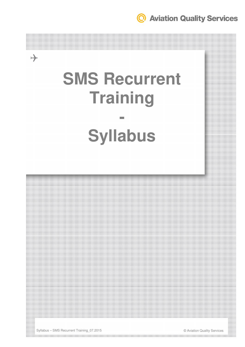**Q** Aviation Quality Services

# **SMS Recurrent Training -**

# **Syllabus**



Syllabus – SMS Recurrent Training\_07.2015 © Aviation Quality Services

 $\rightarrow$ 

the contract of the contract of the contract of the contract of the contract of the contract of the contract of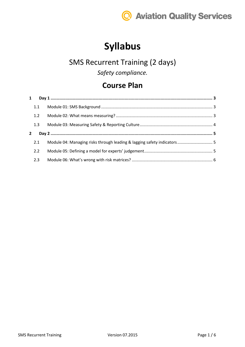

# **Syllabus**

#### SMS Recurrent Training (2 days)

*Safety compliance.*

#### **Course Plan**

|              | 1.1 |                                                                         |  |
|--------------|-----|-------------------------------------------------------------------------|--|
|              | 1.2 |                                                                         |  |
|              | 1.3 |                                                                         |  |
| $\mathbf{2}$ |     |                                                                         |  |
|              | 2.1 | Module 04: Managing risks through leading & lagging safety indicators 5 |  |
|              | 2.2 |                                                                         |  |
|              | 2.3 |                                                                         |  |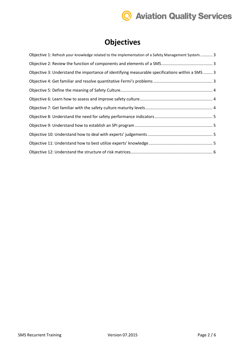# **Q** Aviation Quality Services

### **Objectives**

| Objective 1: Refresh your knowledge related to the implementation of a Safety Management System 3 |
|---------------------------------------------------------------------------------------------------|
|                                                                                                   |
| Objective 3: Understand the importance of identifying measurable specifications within a SMS  3   |
|                                                                                                   |
|                                                                                                   |
|                                                                                                   |
|                                                                                                   |
|                                                                                                   |
|                                                                                                   |
|                                                                                                   |
|                                                                                                   |
|                                                                                                   |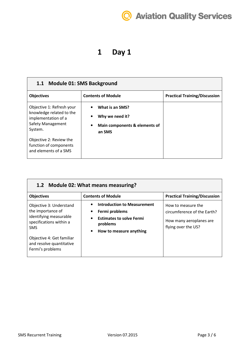# **@ Aviation Quality Services**

#### **1 Day 1**

| 1.1 Module 01: SMS Background                                                                                       |                                                                                            |                                      |  |
|---------------------------------------------------------------------------------------------------------------------|--------------------------------------------------------------------------------------------|--------------------------------------|--|
| <b>Objectives</b>                                                                                                   | <b>Contents of Module</b>                                                                  | <b>Practical Training/Discussion</b> |  |
| Objective 1: Refresh your<br>knowledge related to the<br>implementation of a<br><b>Safety Management</b><br>System. | What is an SMS?<br>Why we need it?<br>Main components & elements of<br>$\bullet$<br>an SMS |                                      |  |
| Objective 2: Review the<br>function of components<br>and elements of a SMS                                          |                                                                                            |                                      |  |

| 1.2 Module 02: What means measuring?                                                                            |                                                                                                                                                          |                                                                                                     |  |
|-----------------------------------------------------------------------------------------------------------------|----------------------------------------------------------------------------------------------------------------------------------------------------------|-----------------------------------------------------------------------------------------------------|--|
| <b>Objectives</b>                                                                                               | <b>Contents of Module</b>                                                                                                                                | <b>Practical Training/Discussion</b>                                                                |  |
| Objective 3: Understand<br>the importance of<br>identifying measurable<br>specifications within a<br><b>SMS</b> | <b>Introduction to Measurement</b><br>Fermi problems<br><b>Estimates to solve Fermi</b><br>$\bullet$<br>problems<br>How to measure anything<br>$\bullet$ | How to measure the<br>circumference of the Earth?<br>How many aeroplanes are<br>flying over the US? |  |
| Objective 4: Get familiar<br>and resolve quantitative<br>Fermi's problems                                       |                                                                                                                                                          |                                                                                                     |  |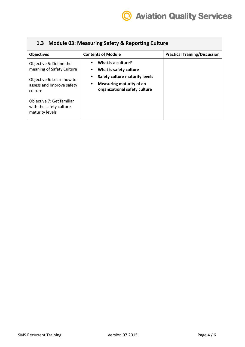| 1.3 Module 03: Measuring Safety & Reporting Culture                                                                       |                                                                                                                                                          |                                      |  |
|---------------------------------------------------------------------------------------------------------------------------|----------------------------------------------------------------------------------------------------------------------------------------------------------|--------------------------------------|--|
| <b>Objectives</b>                                                                                                         | <b>Contents of Module</b>                                                                                                                                | <b>Practical Training/Discussion</b> |  |
| Objective 5: Define the<br>meaning of Safety Culture<br>Objective 6: Learn how to<br>assess and improve safety<br>culture | What is a culture?<br>What is safety culture<br>Safety culture maturity levels<br>Measuring maturity of an<br>$\bullet$<br>organizational safety culture |                                      |  |
| Objective 7: Get familiar<br>with the safety culture<br>maturity levels                                                   |                                                                                                                                                          |                                      |  |

 $\sqrt{2}$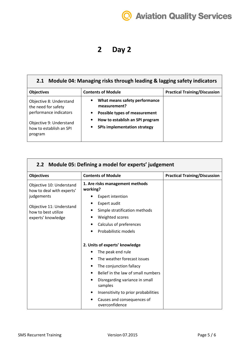# **Aviation Quality Services**

#### **2 Day 2**

#### **2.1 Module 04: Managing risks through leading & lagging safety indicators Objectives** Contents of Module **Practical Training/Discussion** Objective 8: Understand the need for safety performance indicators Objective 9: Understand how to establish an SPI • **What means safety performance measurement?**  • **Possible types of measurement**  • **How to establish an SPI program**  • **SPIs implementation strategy**

| 2.2 Module 05: Defining a model for experts' judgement                |                                                                                                                                                                                                                                                        |                                      |
|-----------------------------------------------------------------------|--------------------------------------------------------------------------------------------------------------------------------------------------------------------------------------------------------------------------------------------------------|--------------------------------------|
| <b>Objectives</b>                                                     | <b>Contents of Module</b>                                                                                                                                                                                                                              | <b>Practical Training/Discussion</b> |
| Objective 10: Understand<br>how to deal with experts'<br>judgements   | 1. Are risks management methods<br>working?<br><b>Expert intention</b>                                                                                                                                                                                 |                                      |
| Objective 11: Understand<br>how to best utilize<br>experts' knowledge | Expert audit<br>Simple stratification methods<br>Weighted scores<br>Calculus of preferences<br>Probabilistic models<br>2. Units of experts' knowledge                                                                                                  |                                      |
|                                                                       | The peak end rule<br>The weather forecast issues<br>The conjunction fallacy<br>Belief in the law of small numbers<br>Disregarding variance in small<br>samples<br>Insensitivity to prior probabilities<br>Causes and consequences of<br>overconfidence |                                      |

program